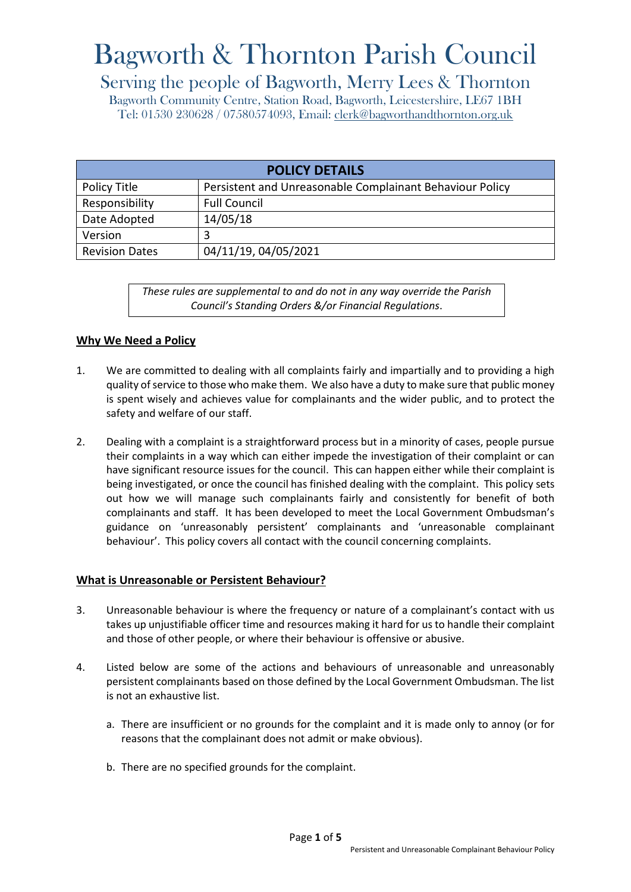# Bagworth & Thornton Parish Council

# Serving the people of Bagworth, Merry Lees & Thornton

Bagworth Community Centre, Station Road, Bagworth, Leicestershire, LE67 1BH Tel: 01530 230628 / 07580574093, Email: [clerk@bagworthandthornton.org.uk](mailto:clerk@bagworthandthornton.org.uk)

| <b>POLICY DETAILS</b> |                                                          |
|-----------------------|----------------------------------------------------------|
| Policy Title          | Persistent and Unreasonable Complainant Behaviour Policy |
| Responsibility        | <b>Full Council</b>                                      |
| Date Adopted          | 14/05/18                                                 |
| Version               | 3                                                        |
| <b>Revision Dates</b> | 04/11/19, 04/05/2021                                     |

*These rules are supplemental to and do not in any way override the Parish Council's Standing Orders &/or Financial Regulations*.

# **Why We Need a Policy**

- 1. We are committed to dealing with all complaints fairly and impartially and to providing a high quality of service to those who make them. We also have a duty to make sure that public money is spent wisely and achieves value for complainants and the wider public, and to protect the safety and welfare of our staff.
- 2. Dealing with a complaint is a straightforward process but in a minority of cases, people pursue their complaints in a way which can either impede the investigation of their complaint or can have significant resource issues for the council. This can happen either while their complaint is being investigated, or once the council has finished dealing with the complaint. This policy sets out how we will manage such complainants fairly and consistently for benefit of both complainants and staff. It has been developed to meet the Local Government Ombudsman's guidance on 'unreasonably persistent' complainants and 'unreasonable complainant behaviour'. This policy covers all contact with the council concerning complaints.

# **What is Unreasonable or Persistent Behaviour?**

- 3. Unreasonable behaviour is where the frequency or nature of a complainant's contact with us takes up unjustifiable officer time and resources making it hard for us to handle their complaint and those of other people, or where their behaviour is offensive or abusive.
- 4. Listed below are some of the actions and behaviours of unreasonable and unreasonably persistent complainants based on those defined by the Local Government Ombudsman. The list is not an exhaustive list.
	- a. There are insufficient or no grounds for the complaint and it is made only to annoy (or for reasons that the complainant does not admit or make obvious).
	- b. There are no specified grounds for the complaint.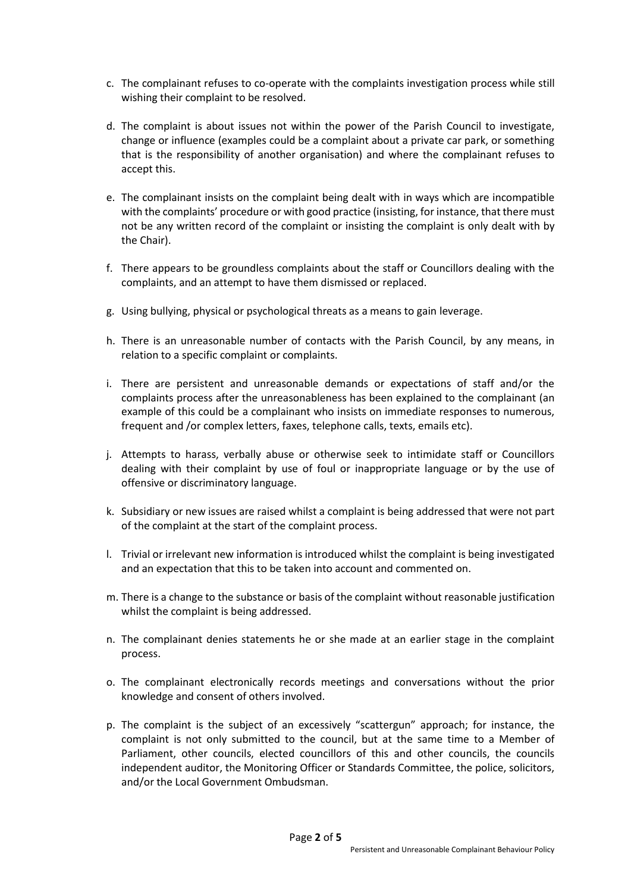- c. The complainant refuses to co-operate with the complaints investigation process while still wishing their complaint to be resolved.
- d. The complaint is about issues not within the power of the Parish Council to investigate, change or influence (examples could be a complaint about a private car park, or something that is the responsibility of another organisation) and where the complainant refuses to accept this.
- e. The complainant insists on the complaint being dealt with in ways which are incompatible with the complaints' procedure or with good practice (insisting, for instance, that there must not be any written record of the complaint or insisting the complaint is only dealt with by the Chair).
- f. There appears to be groundless complaints about the staff or Councillors dealing with the complaints, and an attempt to have them dismissed or replaced.
- g. Using bullying, physical or psychological threats as a means to gain leverage.
- h. There is an unreasonable number of contacts with the Parish Council, by any means, in relation to a specific complaint or complaints.
- i. There are persistent and unreasonable demands or expectations of staff and/or the complaints process after the unreasonableness has been explained to the complainant (an example of this could be a complainant who insists on immediate responses to numerous, frequent and /or complex letters, faxes, telephone calls, texts, emails etc).
- j. Attempts to harass, verbally abuse or otherwise seek to intimidate staff or Councillors dealing with their complaint by use of foul or inappropriate language or by the use of offensive or discriminatory language.
- k. Subsidiary or new issues are raised whilst a complaint is being addressed that were not part of the complaint at the start of the complaint process.
- l. Trivial or irrelevant new information is introduced whilst the complaint is being investigated and an expectation that this to be taken into account and commented on.
- m. There is a change to the substance or basis of the complaint without reasonable justification whilst the complaint is being addressed.
- n. The complainant denies statements he or she made at an earlier stage in the complaint process.
- o. The complainant electronically records meetings and conversations without the prior knowledge and consent of others involved.
- p. The complaint is the subject of an excessively "scattergun" approach; for instance, the complaint is not only submitted to the council, but at the same time to a Member of Parliament, other councils, elected councillors of this and other councils, the councils independent auditor, the Monitoring Officer or Standards Committee, the police, solicitors, and/or the Local Government Ombudsman.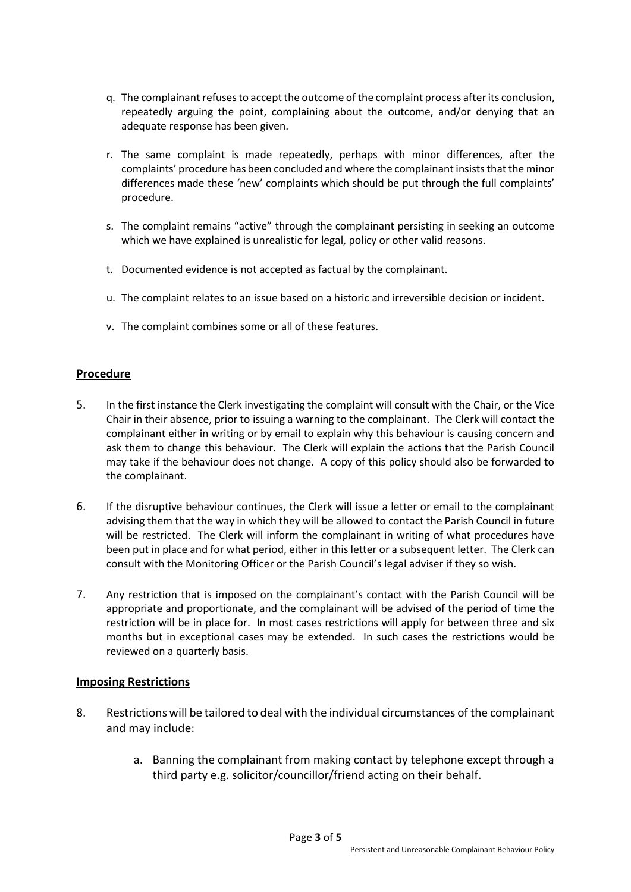- q. The complainant refuses to accept the outcome of the complaint process after its conclusion, repeatedly arguing the point, complaining about the outcome, and/or denying that an adequate response has been given.
- r. The same complaint is made repeatedly, perhaps with minor differences, after the complaints' procedure has been concluded and where the complainant insists that the minor differences made these 'new' complaints which should be put through the full complaints' procedure.
- s. The complaint remains "active" through the complainant persisting in seeking an outcome which we have explained is unrealistic for legal, policy or other valid reasons.
- t. Documented evidence is not accepted as factual by the complainant.
- u. The complaint relates to an issue based on a historic and irreversible decision or incident.
- v. The complaint combines some or all of these features.

#### **Procedure**

- 5. In the first instance the Clerk investigating the complaint will consult with the Chair, or the Vice Chair in their absence, prior to issuing a warning to the complainant. The Clerk will contact the complainant either in writing or by email to explain why this behaviour is causing concern and ask them to change this behaviour. The Clerk will explain the actions that the Parish Council may take if the behaviour does not change. A copy of this policy should also be forwarded to the complainant.
- 6. If the disruptive behaviour continues, the Clerk will issue a letter or email to the complainant advising them that the way in which they will be allowed to contact the Parish Council in future will be restricted. The Clerk will inform the complainant in writing of what procedures have been put in place and for what period, either in this letter or a subsequent letter. The Clerk can consult with the Monitoring Officer or the Parish Council's legal adviser if they so wish.
- 7. Any restriction that is imposed on the complainant's contact with the Parish Council will be appropriate and proportionate, and the complainant will be advised of the period of time the restriction will be in place for. In most cases restrictions will apply for between three and six months but in exceptional cases may be extended. In such cases the restrictions would be reviewed on a quarterly basis.

#### **Imposing Restrictions**

- 8. Restrictions will be tailored to deal with the individual circumstances of the complainant and may include:
	- a. Banning the complainant from making contact by telephone except through a third party e.g. solicitor/councillor/friend acting on their behalf.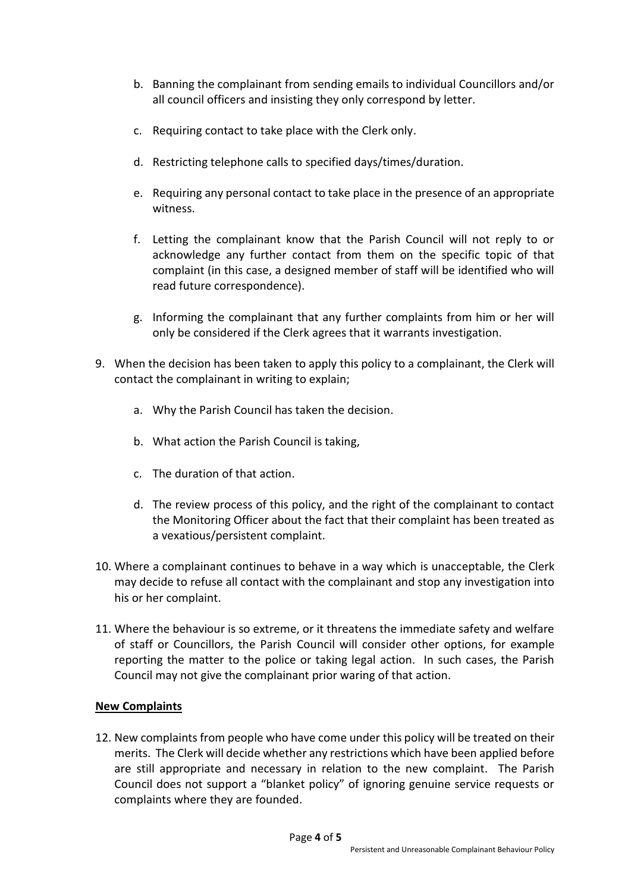- b. Banning the complainant from sending emails to individual Councillors and/or all council officers and insisting they only correspond by letter.
- c. Requiring contact to take place with the Clerk only.
- d. Restricting telephone calls to specified days/times/duration.
- e. Requiring any personal contact to take place in the presence of an appropriate witness.
- f. Letting the complainant know that the Parish Council will not reply to or acknowledge any further contact from them on the specific topic of that complaint (in this case, a designed member of staff will be identified who will read future correspondence).
- g. Informing the complainant that any further complaints from him or her will only be considered if the Clerk agrees that it warrants investigation.
- 9. When the decision has been taken to apply this policy to a complainant, the Clerk will contact the complainant in writing to explain;
	- a. Why the Parish Council has taken the decision.
	- b. What action the Parish Council is taking,
	- c. The duration of that action.
	- d. The review process of this policy, and the right of the complainant to contact the Monitoring Officer about the fact that their complaint has been treated as a vexatious/persistent complaint.
- 10. Where a complainant continues to behave in a way which is unacceptable, the Clerk may decide to refuse all contact with the complainant and stop any investigation into his or her complaint.
- 11. Where the behaviour is so extreme, or it threatens the immediate safety and welfare of staff or Councillors, the Parish Council will consider other options, for example reporting the matter to the police or taking legal action. In such cases, the Parish Council may not give the complainant prior waring of that action.

# **New Complaints**

12. New complaints from people who have come under this policy will be treated on their merits. The Clerk will decide whether any restrictions which have been applied before are still appropriate and necessary in relation to the new complaint. The Parish Council does not support a "blanket policy" of ignoring genuine service requests or complaints where they are founded.